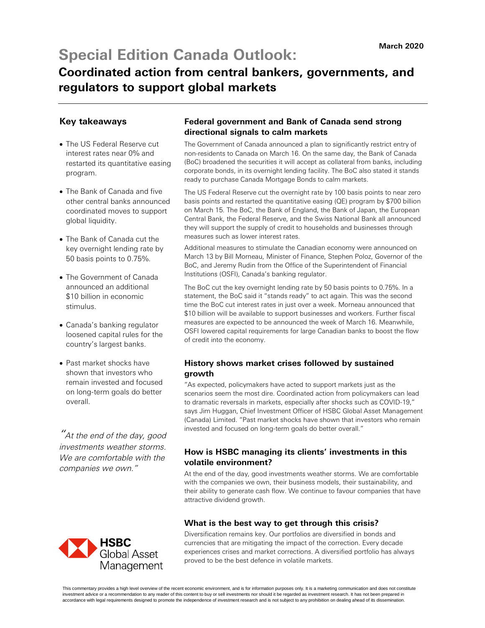# **Special Edition Canada Outlook:**

## **Coordinated action from central bankers, governments, and regulators to support global markets**

### **Key takeaways**

- The US Federal Reserve cut interest rates near 0% and restarted its quantitative easing program.
- The Bank of Canada and five other central banks announced coordinated moves to support global liquidity.
- The Bank of Canada cut the key overnight lending rate by 50 basis points to 0.75%.
- The Government of Canada announced an additional \$10 billion in economic stimulus.
- Canada's banking regulator loosened capital rules for the country's largest banks.
- Past market shocks have shown that investors who remain invested and focused on long-term goals do better overall.

 $\mathrm{''}$ At the end of the day, good investments weather storms. We are comfortable with the companies we own."



### **Federal government and Bank of Canada send strong directional signals to calm markets**

The Government of Canada announced a plan to significantly restrict entry of non-residents to Canada on March 16. On the same day, the Bank of Canada (BoC) broadened the securities it will accept as collateral from banks, including corporate bonds, in its overnight lending facility. The BoC also stated it stands ready to purchase Canada Mortgage Bonds to calm markets.

The US Federal Reserve cut the overnight rate by 100 basis points to near zero basis points and restarted the quantitative easing (QE) program by \$700 billion on March 15. The BoC, the Bank of England, the Bank of Japan, the European Central Bank, the Federal Reserve, and the Swiss National Bank all announced they will support the supply of credit to households and businesses through measures such as lower interest rates.

Additional measures to stimulate the Canadian economy were announced on March 13 by Bill Morneau, Minister of Finance, Stephen Poloz, Governor of the BoC, and Jeremy Rudin from the Office of the Superintendent of Financial Institutions (OSFI), Canada's banking regulator.

The BoC cut the key overnight lending rate by 50 basis points to 0.75%. In a statement, the BoC said it "stands ready" to act again. This was the second time the BoC cut interest rates in just over a week. Morneau announced that \$10 billion will be available to support businesses and workers. Further fiscal measures are expected to be announced the week of March 16. Meanwhile, OSFI lowered capital requirements for large Canadian banks to boost the flow of credit into the economy.

#### **History shows market crises followed by sustained growth**

"As expected, policymakers have acted to support markets just as the scenarios seem the most dire. Coordinated action from policymakers can lead to dramatic reversals in markets, especially after shocks such as COVID-19," says Jim Huggan, Chief Investment Officer of HSBC Global Asset Management (Canada) Limited. "Past market shocks have shown that investors who remain invested and focused on long-term goals do better overall."

#### **How is HSBC managing its clients' investments in this volatile environment?**

At the end of the day, good investments weather storms. We are comfortable with the companies we own, their business models, their sustainability, and their ability to generate cash flow. We continue to favour companies that have attractive dividend growth.

#### **What is the best way to get through this crisis?**

Diversification remains key. Our portfolios are diversified in bonds and currencies that are mitigating the impact of the correction. Every decade experiences crises and market corrections. A diversified portfolio has always proved to be the best defence in volatile markets.

This commentary provides a high level overview of the recent economic environment, and is for information purposes only. It is a marketing communication and does not constitute investment advice or a recommendation to any reader of this content to buy or sell investments nor should it be regarded as investment research. It has not been prepared in accordance with legal requirements designed to promote the independence of investment research and is not subject to any prohibition on dealing ahead of its dissemination.